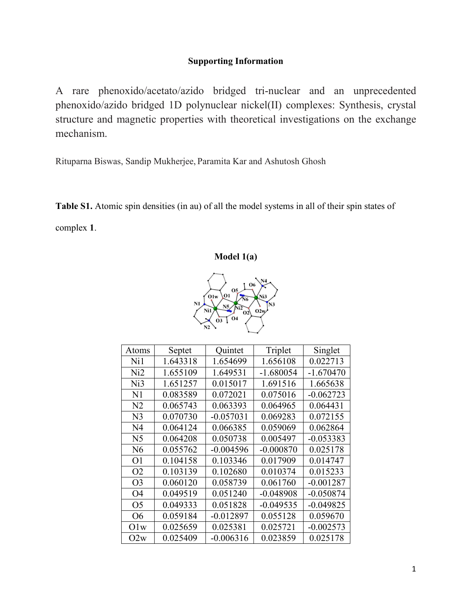## **Supporting Information**

A rare phenoxido/acetato/azido bridged tri-nuclear and an unprecedented phenoxido/azido bridged 1D polynuclear nickel(II) complexes: Synthesis, crystal structure and magnetic properties with theoretical investigations on the exchange mechanism.

Rituparna Biswas, Sandip Mukherjee, Paramita Kar and Ashutosh Ghosh

**Table S1.** Atomic spin densities (in au) of all the model systems in all of their spin states of complex **1**.





| Atoms           | Septet   | Quintet     | Triplet     | Singlet     |
|-----------------|----------|-------------|-------------|-------------|
| Ni1             | 1.643318 | 1.654699    | 1.656108    | 0.022713    |
| Ni2             | 1.655109 | 1.649531    | $-1.680054$ | $-1.670470$ |
| Ni <sub>3</sub> | 1.651257 | 0.015017    | 1.691516    | 1.665638    |
| N <sub>1</sub>  | 0.083589 | 0.072021    | 0.075016    | $-0.062723$ |
| N <sub>2</sub>  | 0.065743 | 0.063393    | 0.064965    | 0.064431    |
| N <sub>3</sub>  | 0.070730 | $-0.057031$ | 0.069283    | 0.072155    |
| N <sub>4</sub>  | 0.064124 | 0.066385    | 0.059069    | 0.062864    |
| N <sub>5</sub>  | 0.064208 | 0.050738    | 0.005497    | $-0.053383$ |
| N6              | 0.055762 | $-0.004596$ | $-0.000870$ | 0.025178    |
| O <sub>1</sub>  | 0.104158 | 0.103346    | 0.017909    | 0.014747    |
| O <sub>2</sub>  | 0.103139 | 0.102680    | 0.010374    | 0.015233    |
| O <sub>3</sub>  | 0.060120 | 0.058739    | 0.061760    | $-0.001287$ |
| O <sub>4</sub>  | 0.049519 | 0.051240    | $-0.048908$ | $-0.050874$ |
| O <sub>5</sub>  | 0.049333 | 0.051828    | $-0.049535$ | $-0.049825$ |
| <b>O6</b>       | 0.059184 | $-0.012897$ | 0.055128    | 0.059670    |
| O1w             | 0.025659 | 0.025381    | 0.025721    | $-0.002573$ |
| O2w             | 0.025409 | $-0.006316$ | 0.023859    | 0.025178    |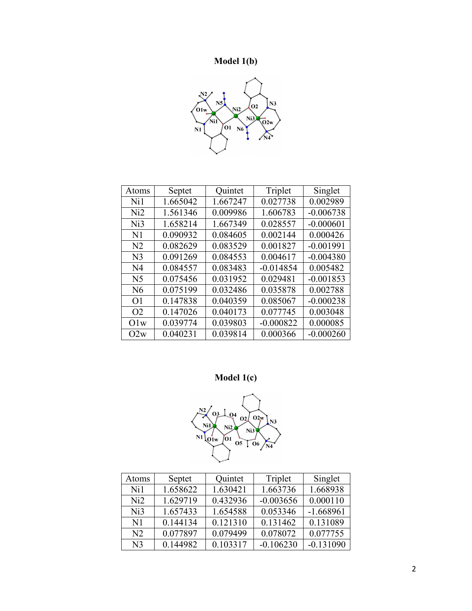## **Model 1(b)**



| Atoms          | Septet   | Quintet  | Triplet     | Singlet     |
|----------------|----------|----------|-------------|-------------|
| Ni1            | 1.665042 | 1.667247 | 0.027738    | 0.002989    |
| Ni2            | 1.561346 | 0.009986 | 1.606783    | $-0.006738$ |
| Ni3            | 1.658214 | 1.667349 | 0.028557    | $-0.000601$ |
| N <sub>1</sub> | 0.090932 | 0.084605 | 0.002144    | 0.000426    |
| N <sub>2</sub> | 0.082629 | 0.083529 | 0.001827    | $-0.001991$ |
| N <sub>3</sub> | 0.091269 | 0.084553 | 0.004617    | $-0.004380$ |
| N <sub>4</sub> | 0.084557 | 0.083483 | $-0.014854$ | 0.005482    |
| N <sub>5</sub> | 0.075456 | 0.031952 | 0.029481    | $-0.001853$ |
| N6             | 0.075199 | 0.032486 | 0.035878    | 0.002788    |
| O <sub>1</sub> | 0.147838 | 0.040359 | 0.085067    | $-0.000238$ |
| O <sub>2</sub> | 0.147026 | 0.040173 | 0.077745    | 0.003048    |
| O1w            | 0.039774 | 0.039803 | $-0.000822$ | 0.000085    |
| O2w            | 0.040231 | 0.039814 | 0.000366    | $-0.000260$ |

**Model 1(c)** 



| Atoms           | Septet   | Quintet  | Triplet     | Singlet     |
|-----------------|----------|----------|-------------|-------------|
| Ni1             | 1.658622 | 1.630421 | 1.663736    | 1.668938    |
| Ni2             | 1.629719 | 0.432936 | $-0.003656$ | 0.000110    |
| Ni <sub>3</sub> | 1.657433 | 1.654588 | 0.053346    | $-1.668961$ |
| $\mathbf{N}$ 1  | 0.144134 | 0.121310 | 0.131462    | 0.131089    |
| N <sub>2</sub>  | 0.077897 | 0.079499 | 0.078072    | 0.077755    |
| N <sup>3</sup>  | 0.144982 | 0.103317 | $-0.106230$ | $-0.131090$ |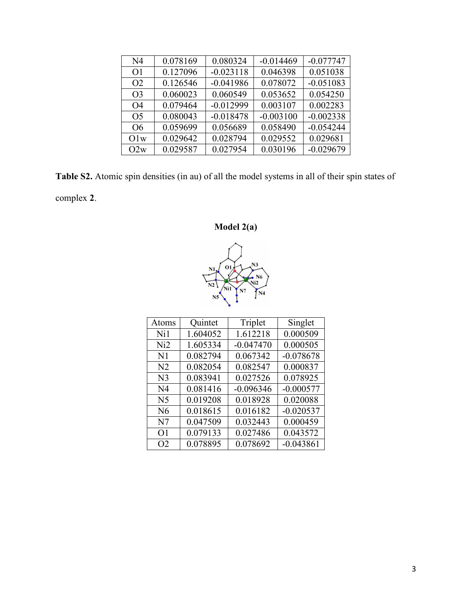| N <sub>4</sub> | 0.078169 | 0.080324    | $-0.014469$ | $-0.077747$ |
|----------------|----------|-------------|-------------|-------------|
| O1             | 0.127096 | $-0.023118$ | 0.046398    | 0.051038    |
| O <sub>2</sub> | 0.126546 | $-0.041986$ | 0.078072    | $-0.051083$ |
| O <sub>3</sub> | 0.060023 | 0.060549    | 0.053652    | 0.054250    |
| O4             | 0.079464 | $-0.012999$ | 0.003107    | 0.002283    |
| O <sub>5</sub> | 0.080043 | $-0.018478$ | $-0.003100$ | $-0.002338$ |
| O <sub>6</sub> | 0.059699 | 0.056689    | 0.058490    | $-0.054244$ |
| Olw            | 0.029642 | 0.028794    | 0.029552    | 0.029681    |
| O2w            | 0.029587 | 0.027954    | 0.030196    | $-0.029679$ |

**Table S2.** Atomic spin densities (in au) of all the model systems in all of their spin states of complex **2**.

**Model 2(a)** 



| Atoms          | Quintet  | Triplet     | Singlet     |
|----------------|----------|-------------|-------------|
| Ni1            | 1.604052 | 1.612218    | 0.000509    |
| Ni2            | 1.605334 | $-0.047470$ | 0.000505    |
| N <sub>1</sub> | 0.082794 | 0.067342    | $-0.078678$ |
| N <sub>2</sub> | 0.082054 | 0.082547    | 0.000837    |
| N <sub>3</sub> | 0.083941 | 0.027526    | 0.078925    |
| N <sub>4</sub> | 0.081416 | $-0.096346$ | $-0.000577$ |
| N <sub>5</sub> | 0.019208 | 0.018928    | 0.020088    |
| N <sub>6</sub> | 0.018615 | 0.016182    | $-0.020537$ |
| N7             | 0.047509 | 0.032443    | 0.000459    |
| O1             | 0.079133 | 0.027486    | 0.043572    |
| O <sub>2</sub> | 0.078895 | 0.078692    | $-0.043861$ |